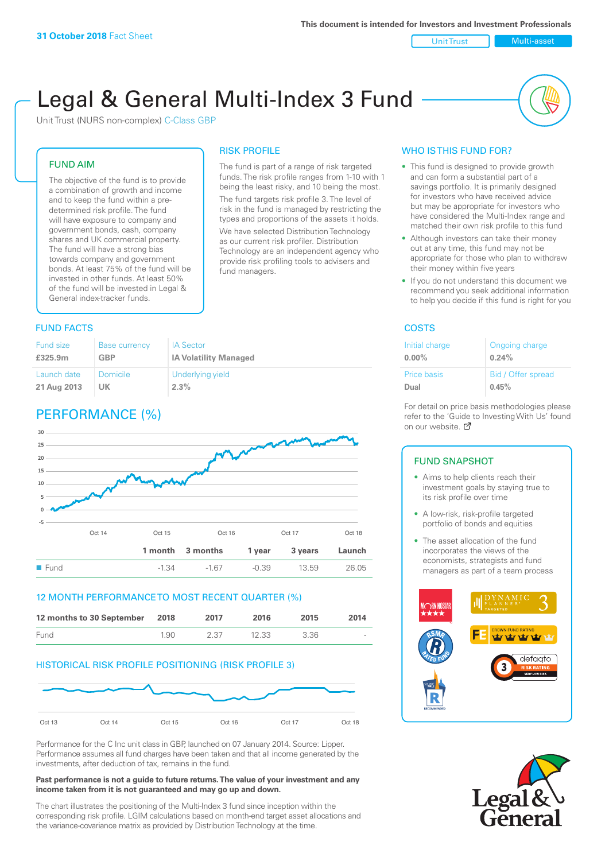#### Unit Trust Nulti-asset

# Legal & General Multi-Index 3 Fund

RISK PROFILE

fund managers.

The fund is part of a range of risk targeted funds. The risk profile ranges from 1-10 with 1 being the least risky, and 10 being the most. The fund targets risk profile 3. The level of risk in the fund is managed by restricting the types and proportions of the assets it holds. We have selected Distribution Technology as our current risk profiler. Distribution Technology are an independent agency who provide risk profiling tools to advisers and

Unit Trust (NURS non-complex) C-Class GBP

## FUND AIM

The objective of the fund is to provide a combination of growth and income and to keep the fund within a predetermined risk profile. The fund will have exposure to company and government bonds, cash, company shares and UK commercial property. The fund will have a strong bias towards company and government bonds. At least 75% of the fund will be invested in other funds. At least 50% of the fund will be invested in Legal & General index-tracker funds.

## **FUND FACTS** COSTS

#### Fund size **£325.9m** Base currency **GBP** IA Sector **IA Volatility Managed** Launch date **21 Aug 2013** Domicile **UK** Underlying yield **2.3%**

## PERFORMANCE (%)



#### 12 MONTH PERFORMANCE TO MOST RECENT QUARTER (%)

| 12 months to 30 September 2018 |      | 2017 | 2016  | 2015 | 2014   |
|--------------------------------|------|------|-------|------|--------|
| Fund                           | 1.90 | 2.37 | 12.33 | 3.36 | $\sim$ |

## HISTORICAL RISK PROFILE POSITIONING (RISK PROFILE 3)



Performance for the C Inc unit class in GBP, launched on 07 January 2014. Source: Lipper. Performance assumes all fund charges have been taken and that all income generated by the investments, after deduction of tax, remains in the fund.

#### **Past performance is not a guide to future returns. The value of your investment and any income taken from it is not guaranteed and may go up and down.**

The chart illustrates the positioning of the Multi-Index 3 fund since inception within the corresponding risk profile. LGIM calculations based on month-end target asset allocations and the variance-covariance matrix as provided by Distribution Technology at the time.

## WHO IS THIS FUND FOR?

- This fund is designed to provide growth and can form a substantial part of a savings portfolio. It is primarily designed for investors who have received advice but may be appropriate for investors who have considered the Multi-Index range and matched their own risk profile to this fund
- Although investors can take their money out at any time, this fund may not be appropriate for those who plan to withdraw their money within five years
- If you do not understand this document we recommend you seek additional information to help you decide if this fund is right for you

| Initial charge | Ongoing charge     |
|----------------|--------------------|
| $0.00\%$       | 0.24%              |
| Price basis    | Bid / Offer spread |
| Dual           | 0.45%              |

For detail on price basis methodologies please refer to the 'Gu[ide t](http://www.legalandgeneral.com/guide)o Investing With Us' found on our website. Ø

#### FUND SNAPSHOT

- Aims to help clients reach their investment goals by staying true to its risk profile over time
- A low-risk, risk-profile targeted portfolio of bonds and equities
- The asset allocation of the fund incorporates the views of the economists, strategists and fund managers as part of a team process



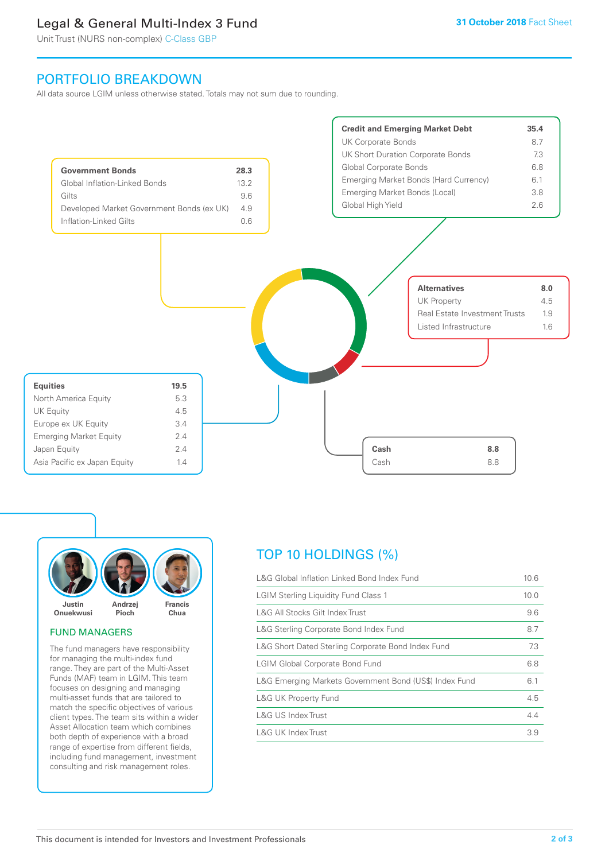## Legal & General Multi-Index 3 Fund

Unit Trust (NURS non-complex) C-Class GBP

## PORTFOLIO BREAKDOWN

All data source LGIM unless otherwise stated. Totals may not sum due to rounding.





#### FUND MANAGERS

The fund managers have responsibility for managing the multi-index fund range. They are part of the Multi-Asset Funds (MAF) team in LGIM. This team focuses on designing and managing multi-asset funds that are tailored to match the specific objectives of various client types. The team sits within a wider Asset Allocation team which combines both depth of experience with a broad range of expertise from different fields, including fund management, investment consulting and risk management roles.

## TOP 10 HOLDINGS (%)

| L&G Global Inflation Linked Bond Index Fund            | 10.6 |
|--------------------------------------------------------|------|
| <b>LGIM Sterling Liquidity Fund Class 1</b>            | 10.0 |
| L&G All Stocks Gilt Index Trust                        | 9.6  |
| L&G Sterling Corporate Bond Index Fund                 | 8.7  |
| L&G Short Dated Sterling Corporate Bond Index Fund     | 7.3  |
| <b>LGIM Global Corporate Bond Fund</b>                 | 6.8  |
| L&G Emerging Markets Government Bond (US\$) Index Fund | 6.1  |
| <b>L&amp;G UK Property Fund</b>                        | 4.5  |
| L&G US Index Trust                                     | 4.4  |
| L&G UK Index Trust                                     | 3.9  |